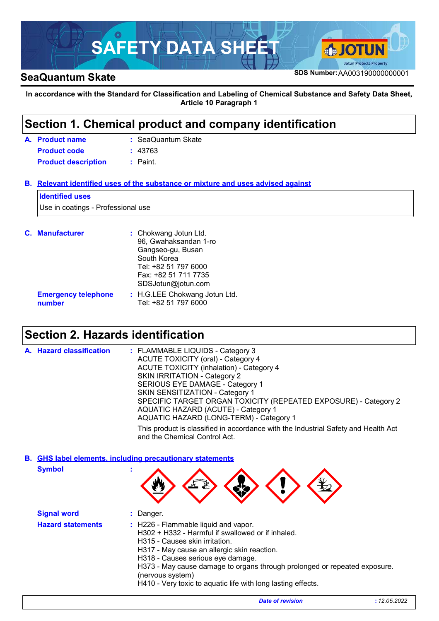

**In accordance with the Standard for Classification and Labeling of Chemical Substance and Safety Data Sheet, Article 10 Paragraph 1**

### **Section 1. Chemical product and company identification**

| A. Product name            | : SeaQuantum Skate |  |
|----------------------------|--------------------|--|
| <b>Product code</b>        | : 43763            |  |
| <b>Product description</b> | : Paint.           |  |

**Relevant identified uses of the substance or mixture and uses advised against B.**

#### **Identified uses**

Use in coatings - Professional use

| <b>C.</b> Manufacturer               | : Chokwang Jotun Ltd.<br>96, Gwahaksandan 1-ro<br>Gangseo-gu, Busan<br>South Korea<br>Tel: +82 51 797 6000<br>Fax: +82 51 711 7735<br>SDSJotun@jotun.com |
|--------------------------------------|----------------------------------------------------------------------------------------------------------------------------------------------------------|
| <b>Emergency telephone</b><br>number | : H.G.LEE Chokwang Jotun Ltd.<br>Tel: +82 51 797 6000                                                                                                    |

### **Section 2. Hazards identification**

| A. Hazard classification | : FLAMMABLE LIQUIDS - Category 3<br><b>ACUTE TOXICITY (oral) - Category 4</b>                                       |
|--------------------------|---------------------------------------------------------------------------------------------------------------------|
|                          | <b>ACUTE TOXICITY (inhalation) - Category 4</b>                                                                     |
|                          | SKIN IRRITATION - Category 2                                                                                        |
|                          | SERIOUS EYE DAMAGE - Category 1                                                                                     |
|                          | SKIN SENSITIZATION - Category 1                                                                                     |
|                          | SPECIFIC TARGET ORGAN TOXICITY (REPEATED EXPOSURE) - Category 2                                                     |
|                          | AQUATIC HAZARD (ACUTE) - Category 1                                                                                 |
|                          | AQUATIC HAZARD (LONG-TERM) - Category 1                                                                             |
|                          | This product is classified in accordance with the Industrial Safety and Health Act<br>and the Chemical Control Act. |

**Symbol : GHS label elements, including precautionary statements B.**

|  | - 14 | ₹.,<br>٦W<br>$\mathbb{R}^n$ | YY |  |  |
|--|------|-----------------------------|----|--|--|
|--|------|-----------------------------|----|--|--|

| <b>Signal word</b>       | Danger.                                                                                                                                                                                                                                                                                                                                                                          |
|--------------------------|----------------------------------------------------------------------------------------------------------------------------------------------------------------------------------------------------------------------------------------------------------------------------------------------------------------------------------------------------------------------------------|
| <b>Hazard statements</b> | : H226 - Flammable liquid and vapor.<br>H302 + H332 - Harmful if swallowed or if inhaled.<br>H315 - Causes skin irritation.<br>H317 - May cause an allergic skin reaction.<br>H318 - Causes serious eye damage.<br>H373 - May cause damage to organs through prolonged or repeated exposure.<br>(nervous system)<br>H410 - Very toxic to aquatic life with long lasting effects. |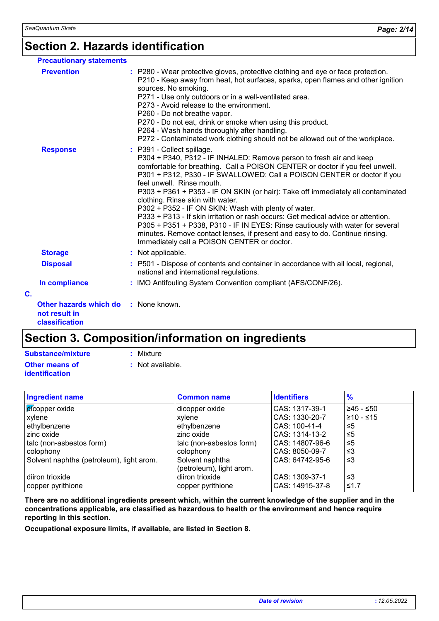### **Section 2. Hazards identification**

| <b>Precautionary statements</b>                                                |                                                                                                                                                                                                                                                                                                                                                                                                                                                                                                                                                                                                                                                                                                                                                                                  |
|--------------------------------------------------------------------------------|----------------------------------------------------------------------------------------------------------------------------------------------------------------------------------------------------------------------------------------------------------------------------------------------------------------------------------------------------------------------------------------------------------------------------------------------------------------------------------------------------------------------------------------------------------------------------------------------------------------------------------------------------------------------------------------------------------------------------------------------------------------------------------|
| <b>Prevention</b>                                                              | : P280 - Wear protective gloves, protective clothing and eye or face protection.<br>P210 - Keep away from heat, hot surfaces, sparks, open flames and other ignition<br>sources. No smoking.<br>P271 - Use only outdoors or in a well-ventilated area.<br>P273 - Avoid release to the environment.<br>P260 - Do not breathe vapor.<br>P270 - Do not eat, drink or smoke when using this product.<br>P264 - Wash hands thoroughly after handling.<br>P272 - Contaminated work clothing should not be allowed out of the workplace.                                                                                                                                                                                                                                                |
| <b>Response</b>                                                                | : P391 - Collect spillage.<br>P304 + P340, P312 - IF INHALED: Remove person to fresh air and keep<br>comfortable for breathing. Call a POISON CENTER or doctor if you feel unwell.<br>P301 + P312, P330 - IF SWALLOWED: Call a POISON CENTER or doctor if you<br>feel unwell. Rinse mouth.<br>P303 + P361 + P353 - IF ON SKIN (or hair): Take off immediately all contaminated<br>clothing. Rinse skin with water.<br>P302 + P352 - IF ON SKIN: Wash with plenty of water.<br>P333 + P313 - If skin irritation or rash occurs: Get medical advice or attention.<br>P305 + P351 + P338, P310 - IF IN EYES: Rinse cautiously with water for several<br>minutes. Remove contact lenses, if present and easy to do. Continue rinsing.<br>Immediately call a POISON CENTER or doctor. |
| <b>Storage</b>                                                                 | : Not applicable.                                                                                                                                                                                                                                                                                                                                                                                                                                                                                                                                                                                                                                                                                                                                                                |
| <b>Disposal</b>                                                                | : P501 - Dispose of contents and container in accordance with all local, regional,<br>national and international regulations.                                                                                                                                                                                                                                                                                                                                                                                                                                                                                                                                                                                                                                                    |
| In compliance                                                                  | : IMO Antifouling System Convention compliant (AFS/CONF/26).                                                                                                                                                                                                                                                                                                                                                                                                                                                                                                                                                                                                                                                                                                                     |
| C.                                                                             |                                                                                                                                                                                                                                                                                                                                                                                                                                                                                                                                                                                                                                                                                                                                                                                  |
| <b>Other hazards which do : None known.</b><br>not result in<br>classification |                                                                                                                                                                                                                                                                                                                                                                                                                                                                                                                                                                                                                                                                                                                                                                                  |

## **Section 3. Composition/information on ingredients**

| Substance/mixture     | : Mixture        |
|-----------------------|------------------|
| <b>Other means of</b> | : Not available. |
| <i>identification</i> |                  |

| <b>Ingredient name</b>                   | <b>Common name</b>       | <b>Identifiers</b> | $\frac{9}{6}$ |
|------------------------------------------|--------------------------|--------------------|---------------|
| dicopper oxide                           | dicopper oxide           | CAS: 1317-39-1     | 245 - ≤50     |
| xylene                                   | xylene                   | CAS: 1330-20-7     | $≥10 - ≤15$   |
| ethylbenzene                             | ethylbenzene             | CAS: 100-41-4      | ≤5            |
| zinc oxide                               | zinc oxide               | CAS: 1314-13-2     | ≤5            |
| talc (non-asbestos form)                 | talc (non-asbestos form) | CAS: 14807-96-6    | ≤5            |
| colophony                                | colophony                | CAS: 8050-09-7     | ו≥ ≥          |
| Solvent naphtha (petroleum), light arom. | Solvent naphtha          | CAS: 64742-95-6    | ו≥ ≥          |
|                                          | (petroleum), light arom. |                    |               |
| diiron trioxide                          | diiron trioxide          | CAS: 1309-37-1     | ו≥ ≥          |
| copper pyrithione                        | copper pyrithione        | CAS: 14915-37-8    | ≤1.7          |

**There are no additional ingredients present which, within the current knowledge of the supplier and in the concentrations applicable, are classified as hazardous to health or the environment and hence require reporting in this section.**

**Occupational exposure limits, if available, are listed in Section 8.**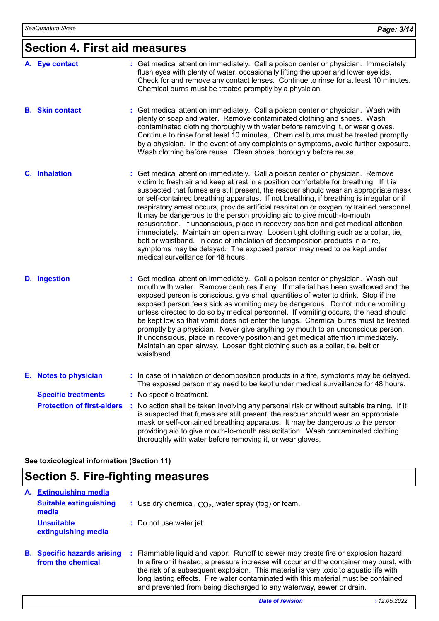### **Section 4. First aid measures**

| A. Eye contact                    | : Get medical attention immediately. Call a poison center or physician. Immediately<br>flush eyes with plenty of water, occasionally lifting the upper and lower eyelids.<br>Check for and remove any contact lenses. Continue to rinse for at least 10 minutes.<br>Chemical burns must be treated promptly by a physician.                                                                                                                                                                                                                                                                                                                                                                                                                                                                                                                                                                                   |
|-----------------------------------|---------------------------------------------------------------------------------------------------------------------------------------------------------------------------------------------------------------------------------------------------------------------------------------------------------------------------------------------------------------------------------------------------------------------------------------------------------------------------------------------------------------------------------------------------------------------------------------------------------------------------------------------------------------------------------------------------------------------------------------------------------------------------------------------------------------------------------------------------------------------------------------------------------------|
| <b>B.</b> Skin contact            | : Get medical attention immediately. Call a poison center or physician. Wash with<br>plenty of soap and water. Remove contaminated clothing and shoes. Wash<br>contaminated clothing thoroughly with water before removing it, or wear gloves.<br>Continue to rinse for at least 10 minutes. Chemical burns must be treated promptly<br>by a physician. In the event of any complaints or symptoms, avoid further exposure.<br>Wash clothing before reuse. Clean shoes thoroughly before reuse.                                                                                                                                                                                                                                                                                                                                                                                                               |
| <b>C.</b> Inhalation              | Get medical attention immediately. Call a poison center or physician. Remove<br>victim to fresh air and keep at rest in a position comfortable for breathing. If it is<br>suspected that fumes are still present, the rescuer should wear an appropriate mask<br>or self-contained breathing apparatus. If not breathing, if breathing is irregular or if<br>respiratory arrest occurs, provide artificial respiration or oxygen by trained personnel.<br>It may be dangerous to the person providing aid to give mouth-to-mouth<br>resuscitation. If unconscious, place in recovery position and get medical attention<br>immediately. Maintain an open airway. Loosen tight clothing such as a collar, tie,<br>belt or waistband. In case of inhalation of decomposition products in a fire,<br>symptoms may be delayed. The exposed person may need to be kept under<br>medical surveillance for 48 hours. |
| <b>D.</b> Ingestion               | : Get medical attention immediately. Call a poison center or physician. Wash out<br>mouth with water. Remove dentures if any. If material has been swallowed and the<br>exposed person is conscious, give small quantities of water to drink. Stop if the<br>exposed person feels sick as vomiting may be dangerous. Do not induce vomiting<br>unless directed to do so by medical personnel. If vomiting occurs, the head should<br>be kept low so that vomit does not enter the lungs. Chemical burns must be treated<br>promptly by a physician. Never give anything by mouth to an unconscious person.<br>If unconscious, place in recovery position and get medical attention immediately.<br>Maintain an open airway. Loosen tight clothing such as a collar, tie, belt or<br>waistband.                                                                                                                |
| E. Notes to physician             | : In case of inhalation of decomposition products in a fire, symptoms may be delayed.<br>The exposed person may need to be kept under medical surveillance for 48 hours.                                                                                                                                                                                                                                                                                                                                                                                                                                                                                                                                                                                                                                                                                                                                      |
| <b>Specific treatments</b>        | : No specific treatment.                                                                                                                                                                                                                                                                                                                                                                                                                                                                                                                                                                                                                                                                                                                                                                                                                                                                                      |
| <b>Protection of first-aiders</b> | No action shall be taken involving any personal risk or without suitable training. If it<br>is suspected that fumes are still present, the rescuer should wear an appropriate<br>mask or self-contained breathing apparatus. It may be dangerous to the person<br>providing aid to give mouth-to-mouth resuscitation. Wash contaminated clothing<br>thoroughly with water before removing it, or wear gloves.                                                                                                                                                                                                                                                                                                                                                                                                                                                                                                 |

**See toxicological information (Section 11)**

## **Section 5. Fire-fighting measures**

| A. | <b>Extinguishing media</b>                              |                                                                                                                                                                                                                                                                                                                                                                                                                                      |
|----|---------------------------------------------------------|--------------------------------------------------------------------------------------------------------------------------------------------------------------------------------------------------------------------------------------------------------------------------------------------------------------------------------------------------------------------------------------------------------------------------------------|
|    | <b>Suitable extinguishing</b><br>media                  | : Use dry chemical, $CO2$ , water spray (fog) or foam.                                                                                                                                                                                                                                                                                                                                                                               |
|    | <b>Unsuitable</b><br>extinguishing media                | : Do not use water jet.                                                                                                                                                                                                                                                                                                                                                                                                              |
|    | <b>B.</b> Specific hazards arising<br>from the chemical | : Flammable liquid and vapor. Runoff to sewer may create fire or explosion hazard.<br>In a fire or if heated, a pressure increase will occur and the container may burst, with<br>the risk of a subsequent explosion. This material is very toxic to aquatic life with<br>long lasting effects. Fire water contaminated with this material must be contained<br>and prevented from being discharged to any waterway, sewer or drain. |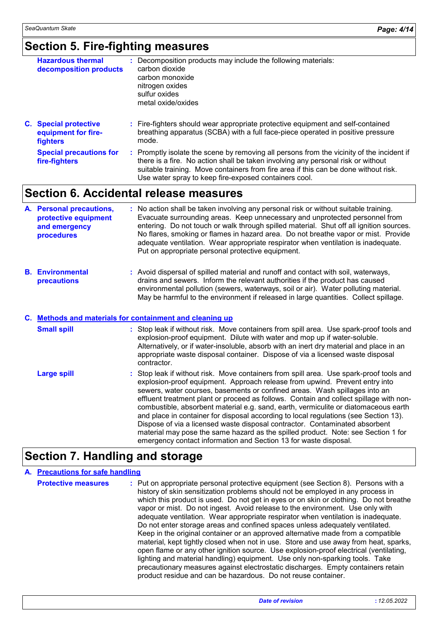### **Section 5. Fire-fighting measures**

| <b>Hazardous thermal</b><br>decomposition products                     | : Decomposition products may include the following materials:<br>carbon dioxide<br>carbon monoxide<br>nitrogen oxides<br>sulfur oxides<br>metal oxide/oxides                |
|------------------------------------------------------------------------|-----------------------------------------------------------------------------------------------------------------------------------------------------------------------------|
| <b>C.</b> Special protective<br>equipment for fire-<br><b>fighters</b> | : Fire-fighters should wear appropriate protective equipment and self-contained<br>breathing apparatus (SCBA) with a full face-piece operated in positive pressure<br>mode. |
| <b>Special precautions for</b>                                         | Promptly isolate the scene by removing all persons from the vicinity of the incident if                                                                                     |

ene by removing all persons from the vicinity of the incident if there is a fire. No action shall be taken involving any personal risk or without suitable training. Move containers from fire area if this can be done without risk. Use water spray to keep fire-exposed containers cool. **Special precautions for fire-fighters :**

### **Section 6. Accidental release measures**

| A. Personal precautions,<br>protective equipment<br>and emergency<br>procedures | : No action shall be taken involving any personal risk or without suitable training.<br>Evacuate surrounding areas. Keep unnecessary and unprotected personnel from<br>entering. Do not touch or walk through spilled material. Shut off all ignition sources.<br>No flares, smoking or flames in hazard area. Do not breathe vapor or mist. Provide<br>adequate ventilation. Wear appropriate respirator when ventilation is inadequate.<br>Put on appropriate personal protective equipment. |
|---------------------------------------------------------------------------------|------------------------------------------------------------------------------------------------------------------------------------------------------------------------------------------------------------------------------------------------------------------------------------------------------------------------------------------------------------------------------------------------------------------------------------------------------------------------------------------------|
|                                                                                 |                                                                                                                                                                                                                                                                                                                                                                                                                                                                                                |

**Environmental B. precautions :** Avoid dispersal of spilled material and runoff and contact with soil, waterways, drains and sewers. Inform the relevant authorities if the product has caused environmental pollution (sewers, waterways, soil or air). Water polluting material. May be harmful to the environment if released in large quantities. Collect spillage.

#### **Methods and materials for containment and cleaning up C.**

| <b>Small spill</b> | : Stop leak if without risk. Move containers from spill area. Use spark-proof tools and<br>explosion-proof equipment. Dilute with water and mop up if water-soluble.<br>Alternatively, or if water-insoluble, absorb with an inert dry material and place in an<br>appropriate waste disposal container. Dispose of via a licensed waste disposal<br>contractor.                                                                                                                                                                                                                                                                                                                                                                                                      |
|--------------------|-----------------------------------------------------------------------------------------------------------------------------------------------------------------------------------------------------------------------------------------------------------------------------------------------------------------------------------------------------------------------------------------------------------------------------------------------------------------------------------------------------------------------------------------------------------------------------------------------------------------------------------------------------------------------------------------------------------------------------------------------------------------------|
| <b>Large spill</b> | : Stop leak if without risk. Move containers from spill area. Use spark-proof tools and<br>explosion-proof equipment. Approach release from upwind. Prevent entry into<br>sewers, water courses, basements or confined areas. Wash spillages into an<br>effluent treatment plant or proceed as follows. Contain and collect spillage with non-<br>combustible, absorbent material e.g. sand, earth, vermiculite or diatomaceous earth<br>and place in container for disposal according to local regulations (see Section 13).<br>Dispose of via a licensed waste disposal contractor. Contaminated absorbent<br>material may pose the same hazard as the spilled product. Note: see Section 1 for<br>emergency contact information and Section 13 for waste disposal. |

### **Section 7. Handling and storage**

### **A. Precautions for safe handling**

| <b>Protective measures</b> | : Put on appropriate personal protective equipment (see Section 8). Persons with a<br>history of skin sensitization problems should not be employed in any process in<br>which this product is used. Do not get in eyes or on skin or clothing. Do not breathe<br>vapor or mist. Do not ingest. Avoid release to the environment. Use only with<br>adequate ventilation. Wear appropriate respirator when ventilation is inadequate.<br>Do not enter storage areas and confined spaces unless adequately ventilated.<br>Keep in the original container or an approved alternative made from a compatible<br>material, kept tightly closed when not in use. Store and use away from heat, sparks,<br>open flame or any other ignition source. Use explosion-proof electrical (ventilating,<br>lighting and material handling) equipment. Use only non-sparking tools. Take |
|----------------------------|---------------------------------------------------------------------------------------------------------------------------------------------------------------------------------------------------------------------------------------------------------------------------------------------------------------------------------------------------------------------------------------------------------------------------------------------------------------------------------------------------------------------------------------------------------------------------------------------------------------------------------------------------------------------------------------------------------------------------------------------------------------------------------------------------------------------------------------------------------------------------|
|                            | precautionary measures against electrostatic discharges. Empty containers retain<br>product residue and can be hazardous. Do not reuse container.                                                                                                                                                                                                                                                                                                                                                                                                                                                                                                                                                                                                                                                                                                                         |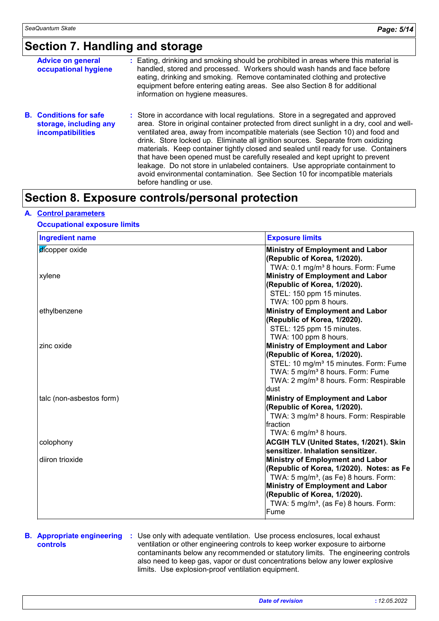### **Section 7. Handling and storage**

| <b>Advice on general</b><br>occupational hygiene                                    | : Eating, drinking and smoking should be prohibited in areas where this material is<br>handled, stored and processed. Workers should wash hands and face before<br>eating, drinking and smoking. Remove contaminated clothing and protective<br>equipment before entering eating areas. See also Section 8 for additional<br>information on hygiene measures.                                                                                                                                                                                                                                                                                                                                                          |
|-------------------------------------------------------------------------------------|------------------------------------------------------------------------------------------------------------------------------------------------------------------------------------------------------------------------------------------------------------------------------------------------------------------------------------------------------------------------------------------------------------------------------------------------------------------------------------------------------------------------------------------------------------------------------------------------------------------------------------------------------------------------------------------------------------------------|
| <b>B.</b> Conditions for safe<br>storage, including any<br><b>incompatibilities</b> | : Store in accordance with local regulations. Store in a segregated and approved<br>area. Store in original container protected from direct sunlight in a dry, cool and well-<br>ventilated area, away from incompatible materials (see Section 10) and food and<br>drink. Store locked up. Eliminate all ignition sources. Separate from oxidizing<br>materials. Keep container tightly closed and sealed until ready for use. Containers<br>that have been opened must be carefully resealed and kept upright to prevent<br>leakage. Do not store in unlabeled containers. Use appropriate containment to<br>avoid environmental contamination. See Section 10 for incompatible materials<br>before handling or use. |

### **Section 8. Exposure controls/personal protection**

#### **A. Control parameters**

#### **Occupational exposure limits**

| <b>Ingredient name</b>   | <b>Exposure limits</b>                             |
|--------------------------|----------------------------------------------------|
| dicopper oxide           | Ministry of Employment and Labor                   |
|                          | (Republic of Korea, 1/2020).                       |
|                          | TWA: 0.1 mg/m <sup>3</sup> 8 hours. Form: Fume     |
| xylene                   | Ministry of Employment and Labor                   |
|                          | (Republic of Korea, 1/2020).                       |
|                          | STEL: 150 ppm 15 minutes.                          |
|                          | TWA: 100 ppm 8 hours.                              |
| ethylbenzene             | <b>Ministry of Employment and Labor</b>            |
|                          | (Republic of Korea, 1/2020).                       |
|                          | STEL: 125 ppm 15 minutes.                          |
|                          | TWA: 100 ppm 8 hours.                              |
| zinc oxide               | <b>Ministry of Employment and Labor</b>            |
|                          | (Republic of Korea, 1/2020).                       |
|                          | STEL: 10 mg/m <sup>3</sup> 15 minutes. Form: Fume  |
|                          | TWA: 5 mg/m <sup>3</sup> 8 hours. Form: Fume       |
|                          | TWA: 2 mg/m <sup>3</sup> 8 hours. Form: Respirable |
|                          | dust                                               |
| talc (non-asbestos form) | <b>Ministry of Employment and Labor</b>            |
|                          | (Republic of Korea, 1/2020).                       |
|                          | TWA: 3 mg/m <sup>3</sup> 8 hours. Form: Respirable |
|                          | Ifraction                                          |
|                          | TWA: 6 mg/m <sup>3</sup> 8 hours.                  |
| colophony                | <b>ACGIH TLV (United States, 1/2021). Skin</b>     |
|                          | sensitizer. Inhalation sensitizer.                 |
| diiron trioxide          | <b>Ministry of Employment and Labor</b>            |
|                          | (Republic of Korea, 1/2020). Notes: as Fe          |
|                          | TWA: 5 mg/m <sup>3</sup> , (as Fe) 8 hours. Form:  |
|                          | <b>Ministry of Employment and Labor</b>            |
|                          | (Republic of Korea, 1/2020).                       |
|                          | TWA: 5 mg/m <sup>3</sup> , (as Fe) 8 hours. Form:  |
|                          | Fume                                               |

### **controls**

**B. Appropriate engineering :** Use only with adequate ventilation. Use process enclosures, local exhaust ventilation or other engineering controls to keep worker exposure to airborne contaminants below any recommended or statutory limits. The engineering controls also need to keep gas, vapor or dust concentrations below any lower explosive limits. Use explosion-proof ventilation equipment.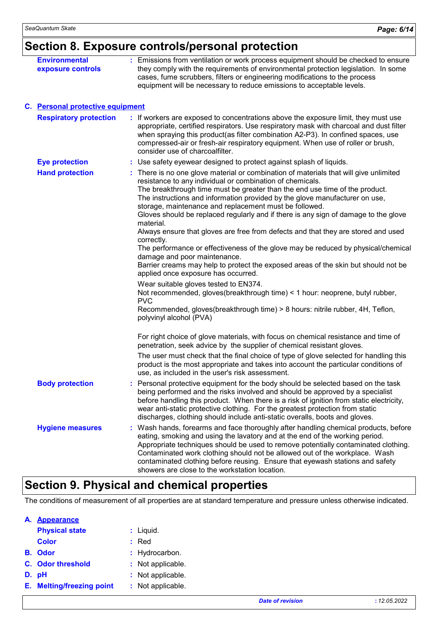## **Section 8. Exposure controls/personal protection**

| <b>Environmental</b><br>exposure controls | : Emissions from ventilation or work process equipment should be checked to ensure<br>they comply with the requirements of environmental protection legislation. In some<br>cases, fume scrubbers, filters or engineering modifications to the process<br>equipment will be necessary to reduce emissions to acceptable levels.                                                                                                                                                                                                                                                                                                                                                                                                                                                                                                                                                                                                                                                                                                                                                         |
|-------------------------------------------|-----------------------------------------------------------------------------------------------------------------------------------------------------------------------------------------------------------------------------------------------------------------------------------------------------------------------------------------------------------------------------------------------------------------------------------------------------------------------------------------------------------------------------------------------------------------------------------------------------------------------------------------------------------------------------------------------------------------------------------------------------------------------------------------------------------------------------------------------------------------------------------------------------------------------------------------------------------------------------------------------------------------------------------------------------------------------------------------|
| C. Personal protective equipment          |                                                                                                                                                                                                                                                                                                                                                                                                                                                                                                                                                                                                                                                                                                                                                                                                                                                                                                                                                                                                                                                                                         |
| <b>Respiratory protection</b>             | : If workers are exposed to concentrations above the exposure limit, they must use<br>appropriate, certified respirators. Use respiratory mask with charcoal and dust filter<br>when spraying this product(as filter combination A2-P3). In confined spaces, use<br>compressed-air or fresh-air respiratory equipment. When use of roller or brush,<br>consider use of charcoalfilter.                                                                                                                                                                                                                                                                                                                                                                                                                                                                                                                                                                                                                                                                                                  |
| <b>Eye protection</b>                     | : Use safety eyewear designed to protect against splash of liquids.                                                                                                                                                                                                                                                                                                                                                                                                                                                                                                                                                                                                                                                                                                                                                                                                                                                                                                                                                                                                                     |
| <b>Hand protection</b>                    | : There is no one glove material or combination of materials that will give unlimited<br>resistance to any individual or combination of chemicals.<br>The breakthrough time must be greater than the end use time of the product.<br>The instructions and information provided by the glove manufacturer on use,<br>storage, maintenance and replacement must be followed.<br>Gloves should be replaced regularly and if there is any sign of damage to the glove<br>material.<br>Always ensure that gloves are free from defects and that they are stored and used<br>correctly.<br>The performance or effectiveness of the glove may be reduced by physical/chemical<br>damage and poor maintenance.<br>Barrier creams may help to protect the exposed areas of the skin but should not be<br>applied once exposure has occurred.<br>Wear suitable gloves tested to EN374.<br>Not recommended, gloves (breakthrough time) < 1 hour: neoprene, butyl rubber,<br><b>PVC</b><br>Recommended, gloves(breakthrough time) > 8 hours: nitrile rubber, 4H, Teflon,<br>polyvinyl alcohol (PVA) |
|                                           | For right choice of glove materials, with focus on chemical resistance and time of<br>penetration, seek advice by the supplier of chemical resistant gloves.<br>The user must check that the final choice of type of glove selected for handling this<br>product is the most appropriate and takes into account the particular conditions of<br>use, as included in the user's risk assessment.                                                                                                                                                                                                                                                                                                                                                                                                                                                                                                                                                                                                                                                                                         |
| <b>Body protection</b>                    | Personal protective equipment for the body should be selected based on the task<br>being performed and the risks involved and should be approved by a specialist<br>before handling this product. When there is a risk of ignition from static electricity,<br>wear anti-static protective clothing. For the greatest protection from static<br>discharges, clothing should include anti-static overalls, boots and gloves.                                                                                                                                                                                                                                                                                                                                                                                                                                                                                                                                                                                                                                                             |
| <b>Hygiene measures</b>                   | : Wash hands, forearms and face thoroughly after handling chemical products, before<br>eating, smoking and using the lavatory and at the end of the working period.<br>Appropriate techniques should be used to remove potentially contaminated clothing.<br>Contaminated work clothing should not be allowed out of the workplace. Wash<br>contaminated clothing before reusing. Ensure that eyewash stations and safety<br>showers are close to the workstation location.                                                                                                                                                                                                                                                                                                                                                                                                                                                                                                                                                                                                             |

### **Section 9. Physical and chemical properties**

The conditions of measurement of all properties are at standard temperature and pressure unless otherwise indicated.

| А. | <b>Appearance</b>                |    |                   |
|----|----------------------------------|----|-------------------|
|    | <b>Physical state</b>            |    | : Liquid.         |
|    | <b>Color</b>                     | t. | Red               |
|    | <b>B.</b> Odor                   |    | : Hydrocarbon.    |
|    | C. Odor threshold                |    | : Not applicable. |
|    | D. pH                            |    | : Not applicable. |
|    | <b>E.</b> Melting/freezing point |    | : Not applicable. |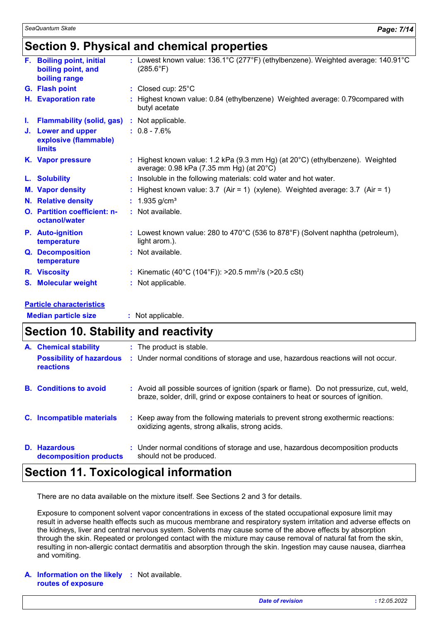### **Section 9. Physical and chemical properties**

|    | F. Boiling point, initial<br>boiling point, and<br>boiling range | : Lowest known value: 136.1°C (277°F) (ethylbenzene). Weighted average: 140.91°C<br>$(285.6^{\circ}F)$                              |
|----|------------------------------------------------------------------|-------------------------------------------------------------------------------------------------------------------------------------|
|    | G. Flash point                                                   | : Closed cup: $25^{\circ}$ C                                                                                                        |
|    | H. Evaporation rate                                              | : Highest known value: 0.84 (ethylbenzene) Weighted average: 0.79 compared with<br>butyl acetate                                    |
| L. | <b>Flammability (solid, gas)</b>                                 | : Not applicable.                                                                                                                   |
|    | J. Lower and upper<br>explosive (flammable)<br><b>limits</b>     | $: 0.8 - 7.6\%$                                                                                                                     |
|    | K. Vapor pressure                                                | : Highest known value: 1.2 kPa (9.3 mm Hg) (at $20^{\circ}$ C) (ethylbenzene). Weighted<br>average: 0.98 kPa (7.35 mm Hg) (at 20°C) |
|    | L. Solubility                                                    | : Insoluble in the following materials: cold water and hot water.                                                                   |
|    | <b>M. Vapor density</b>                                          | : Highest known value: $3.7$ (Air = 1) (xylene). Weighted average: $3.7$ (Air = 1)                                                  |
|    | N. Relative density                                              | : $1.935$ g/cm <sup>3</sup>                                                                                                         |
|    | <b>O.</b> Partition coefficient: n-<br>octanol/water             | : Not available.                                                                                                                    |
|    | <b>P.</b> Auto-ignition<br>temperature                           | : Lowest known value: 280 to 470 $^{\circ}$ C (536 to 878 $^{\circ}$ F) (Solvent naphtha (petroleum),<br>light arom.).              |
|    | Q. Decomposition<br>temperature                                  | : Not available.                                                                                                                    |
|    | <b>R.</b> Viscosity                                              | : Kinematic (40°C (104°F)): >20.5 mm <sup>2</sup> /s (>20.5 cSt)                                                                    |
|    | <b>S. Molecular weight</b>                                       | : Not applicable.                                                                                                                   |
|    |                                                                  |                                                                                                                                     |

#### **Particle characteristics**

**Median particle size :** Not applicable.

| <b>Section 10. Stability and reactivity</b>                                         |  |                                                                                                                                                                              |
|-------------------------------------------------------------------------------------|--|------------------------------------------------------------------------------------------------------------------------------------------------------------------------------|
| <b>A.</b> Chemical stability<br><b>Possibility of hazardous</b><br><b>reactions</b> |  | : The product is stable.<br>: Under normal conditions of storage and use, hazardous reactions will not occur.                                                                |
| <b>B.</b> Conditions to avoid                                                       |  | : Avoid all possible sources of ignition (spark or flame). Do not pressurize, cut, weld,<br>braze, solder, drill, grind or expose containers to heat or sources of ignition. |
| C. Incompatible materials                                                           |  | : Keep away from the following materials to prevent strong exothermic reactions:<br>oxidizing agents, strong alkalis, strong acids.                                          |
| D. Hazardous<br>decomposition products                                              |  | : Under normal conditions of storage and use, hazardous decomposition products<br>should not be produced.                                                                    |

### **Section 11. Toxicological information**

There are no data available on the mixture itself. See Sections 2 and 3 for details.

Exposure to component solvent vapor concentrations in excess of the stated occupational exposure limit may result in adverse health effects such as mucous membrane and respiratory system irritation and adverse effects on the kidneys, liver and central nervous system. Solvents may cause some of the above effects by absorption through the skin. Repeated or prolonged contact with the mixture may cause removal of natural fat from the skin, resulting in non-allergic contact dermatitis and absorption through the skin. Ingestion may cause nausea, diarrhea and vomiting.

#### **A. Information on the likely :** Not available. **routes of exposure**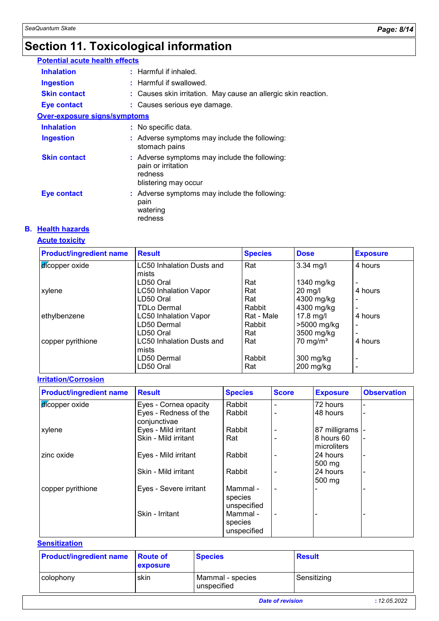## **Section 11. Toxicological information**

| <b>Potential acute health effects</b> |  |                                                                                                        |  |  |  |  |
|---------------------------------------|--|--------------------------------------------------------------------------------------------------------|--|--|--|--|
| <b>Inhalation</b>                     |  | $:$ Harmful if inhaled.                                                                                |  |  |  |  |
| <b>Ingestion</b>                      |  | : Harmful if swallowed.                                                                                |  |  |  |  |
| <b>Skin contact</b>                   |  | : Causes skin irritation. May cause an allergic skin reaction.                                         |  |  |  |  |
| Eye contact                           |  | : Causes serious eye damage.                                                                           |  |  |  |  |
| Over-exposure signs/symptoms          |  |                                                                                                        |  |  |  |  |
| <b>Inhalation</b>                     |  | : No specific data.                                                                                    |  |  |  |  |
| <b>Ingestion</b>                      |  | : Adverse symptoms may include the following:<br>stomach pains                                         |  |  |  |  |
| <b>Skin contact</b>                   |  | : Adverse symptoms may include the following:<br>pain or irritation<br>redness<br>blistering may occur |  |  |  |  |
| <b>Eye contact</b>                    |  | : Adverse symptoms may include the following:<br>pain<br>watering<br>redness                           |  |  |  |  |

#### **B. Health hazards**

#### **Acute toxicity**

| <b>Product/ingredient name</b> | <b>Result</b>                | <b>Species</b> | <b>Dose</b>         | <b>Exposure</b>          |
|--------------------------------|------------------------------|----------------|---------------------|--------------------------|
| dicopper oxide                 | LC50 Inhalation Dusts and    | Rat            | $3.34$ mg/l         | 4 hours                  |
|                                | lmists.                      |                |                     |                          |
|                                | LD50 Oral                    | Rat            | 1340 mg/kg          |                          |
| xylene                         | <b>LC50 Inhalation Vapor</b> | Rat            | $20 \text{ mg/l}$   | 4 hours                  |
|                                | LD50 Oral                    | Rat            | 4300 mg/kg          | $\overline{\phantom{0}}$ |
|                                | <b>TDLo Dermal</b>           | Rabbit         | 4300 mg/kg          | $\blacksquare$           |
| ethylbenzene                   | <b>LC50 Inhalation Vapor</b> | Rat - Male     | $17.8$ mg/l         | 4 hours                  |
|                                | LD50 Dermal                  | Rabbit         | >5000 mg/kg         | $\overline{\phantom{a}}$ |
|                                | LD50 Oral                    | Rat            | 3500 mg/kg          |                          |
| copper pyrithione              | LC50 Inhalation Dusts and    | Rat            | $70 \text{ mg/m}^3$ | 4 hours                  |
|                                | mists                        |                |                     |                          |
|                                | LD50 Dermal                  | Rabbit         | $300$ mg/kg         | $\overline{\phantom{a}}$ |
|                                | LD50 Oral                    | Rat            | $200$ mg/kg         |                          |

#### **Irritation/Corrosion**

| <b>Product/ingredient name</b> | <b>Result</b>                         | <b>Species</b>                     | <b>Score</b>   | <b>Exposure</b>              | <b>Observation</b> |
|--------------------------------|---------------------------------------|------------------------------------|----------------|------------------------------|--------------------|
| dicopper oxide                 | Eyes - Cornea opacity                 | Rabbit                             | $\blacksquare$ | 72 hours                     |                    |
|                                | Eyes - Redness of the<br>conjunctivae | Rabbit                             | $\blacksquare$ | 48 hours                     |                    |
| xylene                         | Eyes - Mild irritant                  | Rabbit                             |                | 87 milligrams -              |                    |
|                                | Skin - Mild irritant                  | Rat                                |                | 8 hours 60<br>microliters    |                    |
| zinc oxide                     | Eyes - Mild irritant                  | Rabbit                             |                | 24 hours<br>$500 \text{ mg}$ |                    |
|                                | Skin - Mild irritant                  | Rabbit                             |                | 24 hours<br>$500 \text{ mg}$ |                    |
| copper pyrithione              | Eyes - Severe irritant                | Mammal -<br>species<br>unspecified | $\blacksquare$ |                              |                    |
|                                | Skin - Irritant                       | Mammal -<br>species<br>unspecified | $\blacksquare$ |                              |                    |

#### **Sensitization**

| <b>Product/ingredient name</b> Route of | exposure | <b>Species</b>                  | <b>Result</b>           |              |
|-----------------------------------------|----------|---------------------------------|-------------------------|--------------|
| colophony                               | skin     | Mammal - species<br>unspecified | Sensitizing             |              |
|                                         |          |                                 | <b>Date of revision</b> | : 12.05.2022 |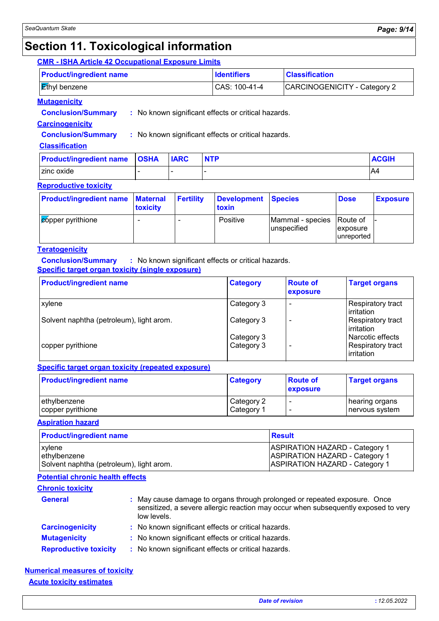### **Section 11. Toxicological information**

#### **CMR - ISHA Article 42 Occupational Exposure Limits**

| <b>Product/ingredient name</b>  | <b>Identifiers</b> | <b>Classification</b>        |
|---------------------------------|--------------------|------------------------------|
| ∣ <mark>l a</mark> thyl benzene | CAS: 100-41-4      | CARCINOGENICITY - Category 2 |

#### **Mutagenicity**

**Conclusion/Summary :** No known significant effects or critical hazards.

#### **Carcinogenicity**

**Conclusion/Summary :** No known significant effects or critical hazards.

#### **Classification**

| <b>Product/ingredient name OSHA</b> | <b>IARC</b> | <b>NTP</b> | <b>ACGIH</b> |
|-------------------------------------|-------------|------------|--------------|
| zinc oxide                          |             |            | A4           |

#### **Reproductive toxicity**

| <b>Product/ingredient name Maternal</b> | toxicity | <b>Fertility</b> | Development Species<br>toxin |                                           | <b>Dose</b>                    | <b>Exposure</b> |
|-----------------------------------------|----------|------------------|------------------------------|-------------------------------------------|--------------------------------|-----------------|
| Copper pyrithione                       |          |                  | Positive                     | Mammal - species Route of<br>lunspecified | <i>exposure</i><br>lunreported |                 |

#### **Teratogenicity**

**Conclusion/Summary :** No known significant effects or critical hazards. **Specific target organ toxicity (single exposure)**

| <b>Product/ingredient name</b>           | <b>Category</b>          | <b>Route of</b><br><b>exposure</b> | <b>Target organs</b>                                |
|------------------------------------------|--------------------------|------------------------------------|-----------------------------------------------------|
| xylene                                   | Category 3               |                                    | Respiratory tract<br><b>lirritation</b>             |
| Solvent naphtha (petroleum), light arom. | Category 3               |                                    | Respiratory tract<br>l irritation                   |
| copper pyrithione                        | Category 3<br>Category 3 |                                    | Narcotic effects<br>Respiratory tract<br>irritation |

#### **Specific target organ toxicity (repeated exposure)**

| <b>Product/ingredient name</b> | <b>Category</b> | <b>Route of</b><br>exposure | <b>Target organs</b> |
|--------------------------------|-----------------|-----------------------------|----------------------|
| ethylbenzene                   | Category 2      |                             | ∣hearing organs      |
| copper pyrithione              | Category 1      | ٠                           | nervous system       |

**Aspiration hazard**

| <b>Product/ingredient name</b>           | <b>Result</b>                         |
|------------------------------------------|---------------------------------------|
| <b>xylene</b>                            | <b>ASPIRATION HAZARD - Category 1</b> |
| lethylbenzene                            | <b>ASPIRATION HAZARD - Category 1</b> |
| Solvent naphtha (petroleum), light arom. | <b>ASPIRATION HAZARD - Category 1</b> |

#### **Potential chronic health effects**

| <b>Chronic toxicity</b>      |                                                                                                                                                                                |
|------------------------------|--------------------------------------------------------------------------------------------------------------------------------------------------------------------------------|
| <b>General</b>               | : May cause damage to organs through prolonged or repeated exposure. Once<br>sensitized, a severe allergic reaction may occur when subsequently exposed to very<br>low levels. |
| <b>Carcinogenicity</b>       | : No known significant effects or critical hazards.                                                                                                                            |
| <b>Mutagenicity</b>          | : No known significant effects or critical hazards.                                                                                                                            |
| <b>Reproductive toxicity</b> | : No known significant effects or critical hazards.                                                                                                                            |

#### **Acute toxicity estimates Numerical measures of toxicity**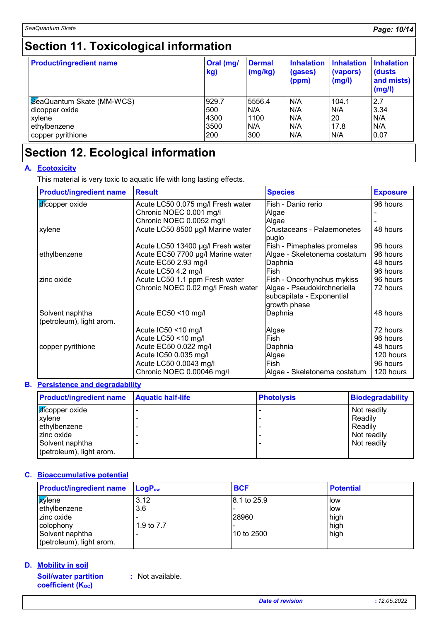## **Section 11. Toxicological information**

| <b>Product/ingredient name</b> | Oral (mg/<br>kg) | <b>Dermal</b><br>(mg/kg) | <b>Inhalation</b><br>(gases)<br>(ppm) | <b>Inhalation</b><br>(vapors)<br>(mg/l) | <b>Inhalation</b><br>(dusts)<br>and mists)<br>(mg/l) |
|--------------------------------|------------------|--------------------------|---------------------------------------|-----------------------------------------|------------------------------------------------------|
| SeaQuantum Skate (MM-WCS)      | 929.7            | 5556.4                   | N/A                                   | 104.1                                   | 2.7                                                  |
| dicopper oxide                 | 500              | N/A                      | N/A                                   | N/A                                     | 3.34                                                 |
| xylene                         | 4300             | 1100                     | N/A                                   | 20                                      | N/A                                                  |
| ethylbenzene                   | 3500             | N/A                      | N/A                                   | 17.8                                    | N/A                                                  |
| copper pyrithione              | 200              | 300                      | N/A                                   | N/A                                     | 0.07                                                 |

### **Section 12. Ecological information**

#### **A. Ecotoxicity**

This material is very toxic to aquatic life with long lasting effects.

| <b>Product/ingredient name</b>              | <b>Result</b>                      | <b>Species</b>                      | <b>Exposure</b> |
|---------------------------------------------|------------------------------------|-------------------------------------|-----------------|
| dicopper oxide                              | Acute LC50 0.075 mg/l Fresh water  | Fish - Danio rerio                  | 96 hours        |
|                                             | Chronic NOEC 0.001 mg/l            | Algae                               |                 |
|                                             | Chronic NOEC 0.0052 mg/l           | Algae                               |                 |
| xylene                                      | Acute LC50 8500 µg/l Marine water  | Crustaceans - Palaemonetes<br>pugio | 48 hours        |
|                                             | Acute LC50 13400 µg/l Fresh water  | Fish - Pimephales promelas          | 96 hours        |
| ethylbenzene                                | Acute EC50 7700 µg/l Marine water  | Algae - Skeletonema costatum        | 96 hours        |
|                                             | Acute EC50 2.93 mg/l               | Daphnia                             | 48 hours        |
|                                             | Acute LC50 4.2 mg/l                | Fish                                | 96 hours        |
| zinc oxide                                  | Acute LC50 1.1 ppm Fresh water     | Fish - Oncorhynchus mykiss          | 96 hours        |
|                                             | Chronic NOEC 0.02 mg/l Fresh water | Algae - Pseudokirchneriella         | 72 hours        |
|                                             |                                    | subcapitata - Exponential           |                 |
|                                             |                                    | growth phase                        |                 |
| Solvent naphtha<br>(petroleum), light arom. | Acute EC50 <10 mg/l                | Daphnia                             | 48 hours        |
|                                             | Acute IC50 <10 mg/l                | Algae                               | 72 hours        |
|                                             | Acute LC50 <10 mg/l                | Fish                                | 96 hours        |
| copper pyrithione                           | Acute EC50 0.022 mg/l              | Daphnia                             | 48 hours        |
|                                             | Acute IC50 0.035 mg/l              | Algae                               | 120 hours       |
|                                             | Acute LC50 0.0043 mg/l             | Fish                                | 96 hours        |
|                                             | Chronic NOEC 0.00046 mg/l          | Algae - Skeletonema costatum        | 120 hours       |

#### **Persistence and degradability B.**

| <b>Product/ingredient name</b> Aquatic half-life | <b>Photolysis</b> | <b>Biodegradability</b> |
|--------------------------------------------------|-------------------|-------------------------|
| <b>d</b> icopper oxide                           |                   | Not readily             |
| xylene                                           |                   | Readily                 |
| ethylbenzene                                     |                   | Readily                 |
| zinc oxide                                       |                   | Not readily             |
| Solvent naphtha                                  |                   | Not readily             |
| (petroleum), light arom.                         |                   |                         |

#### **Bioaccumulative potential C.**

| <b>Product/ingredient name</b> | $\mathsf{LogP}_\mathsf{ow}$ | <b>BCF</b>  | <b>Potential</b> |
|--------------------------------|-----------------------------|-------------|------------------|
| <b>X</b> ylene                 | 3.12                        | 8.1 to 25.9 | llow             |
| ethylbenzene                   | 3.6                         |             | llow             |
| zinc oxide                     |                             | 28960       | high             |
| colophony                      | 1.9 to 7.7                  |             | high             |
| Solvent naphtha                |                             | l10 to 2500 | high             |
| (petroleum), light arom.       |                             |             |                  |

#### **Mobility in soil D.**

**Soil/water partition coefficient (KOC)**

**:** Not available.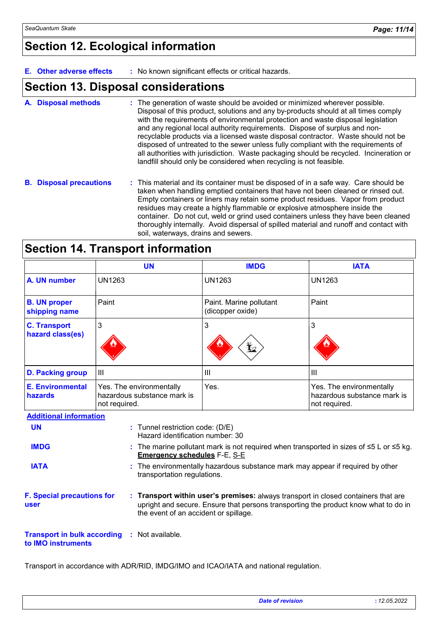### **Section 12. Ecological information**

**E. Other adverse effects :** No known significant effects or critical hazards.

### **Section 13. Disposal considerations**

- The generation of waste should be avoided or minimized wherever possible. Disposal of this product, solutions and any by-products should at all times comply with the requirements of environmental protection and waste disposal legislation and any regional local authority requirements. Dispose of surplus and nonrecyclable products via a licensed waste disposal contractor. Waste should not be disposed of untreated to the sewer unless fully compliant with the requirements of all authorities with jurisdiction. Waste packaging should be recycled. Incineration or landfill should only be considered when recycling is not feasible. **A. Disposal methods :**
- **B. Disposal precautions :** This material and its container must be disposed of in a safe way. Care should be taken when handling emptied containers that have not been cleaned or rinsed out. Empty containers or liners may retain some product residues. Vapor from product residues may create a highly flammable or explosive atmosphere inside the container. Do not cut, weld or grind used containers unless they have been cleaned thoroughly internally. Avoid dispersal of spilled material and runoff and contact with soil, waterways, drains and sewers.

| <b>Section 14. Transport information</b> |  |
|------------------------------------------|--|
|------------------------------------------|--|

|                                         | <b>UN</b>                                                                      | <b>IMDG</b>                                 | <b>IATA</b>                                                                                       |  |
|-----------------------------------------|--------------------------------------------------------------------------------|---------------------------------------------|---------------------------------------------------------------------------------------------------|--|
| A. UN number                            | <b>UN1263</b>                                                                  | UN1263                                      | <b>UN1263</b>                                                                                     |  |
| <b>B. UN proper</b><br>shipping name    | Paint                                                                          | Paint. Marine pollutant<br>(dicopper oxide) | Paint                                                                                             |  |
| <b>C. Transport</b><br>hazard class(es) | 3                                                                              | 3<br>迄                                      | 3                                                                                                 |  |
| <b>D. Packing group</b>                 | $\mathbf{III}$                                                                 | Ш                                           | ΠI                                                                                                |  |
| <b>E. Environmental</b><br>hazards      | Yes. The environmentally<br>hazardous substance mark is<br>not required.       | Yes.                                        | Yes. The environmentally<br>hazardous substance mark is<br>not required.                          |  |
| <b>Additional information</b>           |                                                                                |                                             |                                                                                                   |  |
| <b>UN</b>                               | : Tunnel restriction code: (D/E)<br>Hazard identification number: 30           |                                             |                                                                                                   |  |
| <b>IMDG</b>                             | <b>Emergency schedules F-E, S-E</b>                                            |                                             | The marine pollutant mark is not required when transported in sizes of $\leq 5$ L or $\leq 5$ kg. |  |
| <b>IATA</b>                             | : The environmentally hazardous substance mark may appear if required by other |                                             |                                                                                                   |  |

The environmentally hazardous substance mark may appear if required by other **:** transportation regulations.

**F. Special precautions for user Transport within user's premises:** always transport in closed containers that are **:** upright and secure. Ensure that persons transporting the product know what to do in the event of an accident or spillage.

**Transport in bulk according :** Not available. **to IMO instruments**

Transport in accordance with ADR/RID, IMDG/IMO and ICAO/IATA and national regulation.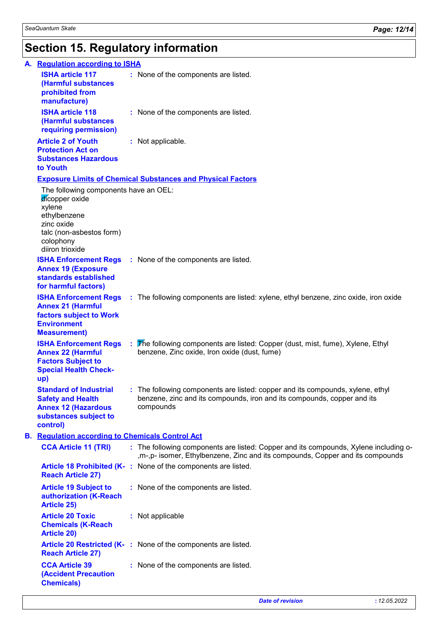# **Section 15. Regulatory information**

|  | A. Regulation according to ISHA                                                                                                                             |                                                                                                                                                                         |  |  |  |  |
|--|-------------------------------------------------------------------------------------------------------------------------------------------------------------|-------------------------------------------------------------------------------------------------------------------------------------------------------------------------|--|--|--|--|
|  | <b>ISHA article 117</b><br>(Harmful substances<br>prohibited from<br>manufacture)                                                                           | : None of the components are listed.                                                                                                                                    |  |  |  |  |
|  | <b>ISHA article 118</b><br>(Harmful substances<br>requiring permission)                                                                                     | : None of the components are listed.                                                                                                                                    |  |  |  |  |
|  | <b>Article 2 of Youth</b><br><b>Protection Act on</b><br><b>Substances Hazardous</b><br>to Youth                                                            | : Not applicable.                                                                                                                                                       |  |  |  |  |
|  | <b>Exposure Limits of Chemical Substances and Physical Factors</b>                                                                                          |                                                                                                                                                                         |  |  |  |  |
|  | The following components have an OEL:<br>dicopper oxide<br>xylene<br>ethylbenzene<br>zinc oxide<br>talc (non-asbestos form)<br>colophony<br>diiron trioxide |                                                                                                                                                                         |  |  |  |  |
|  | <b>Annex 19 (Exposure</b><br>standards established<br>for harmful factors)                                                                                  | <b>ISHA Enforcement Regs</b> : None of the components are listed.                                                                                                       |  |  |  |  |
|  | <b>Annex 21 (Harmful</b><br>factors subject to Work<br><b>Environment</b><br><b>Measurement)</b>                                                            | <b>ISHA Enforcement Regs</b> : The following components are listed: xylene, ethyl benzene, zinc oxide, iron oxide                                                       |  |  |  |  |
|  | <b>Annex 22 (Harmful</b><br><b>Factors Subject to</b><br><b>Special Health Check-</b><br>up)                                                                | <b>ISHA Enforcement Regs</b> : The following components are listed: Copper (dust, mist, fume), Xylene, Ethyl<br>benzene, Zinc oxide, Iron oxide (dust, fume)            |  |  |  |  |
|  | <b>Standard of Industrial</b><br><b>Safety and Health</b><br><b>Annex 12 (Hazardous</b><br>substances subject to<br>control)                                | : The following components are listed: copper and its compounds, xylene, ethyl<br>benzene, zinc and its compounds, iron and its compounds, copper and its<br>compounds  |  |  |  |  |
|  | <b>B.</b> Regulation according to Chemicals Control Act                                                                                                     |                                                                                                                                                                         |  |  |  |  |
|  | <b>CCA Article 11 (TRI)</b>                                                                                                                                 | : The following components are listed: Copper and its compounds, Xylene including o-<br>, m-, p- isomer, Ethylbenzene, Zinc and its compounds, Copper and its compounds |  |  |  |  |
|  | <b>Reach Article 27)</b>                                                                                                                                    | Article 18 Prohibited (K-: None of the components are listed.                                                                                                           |  |  |  |  |
|  | <b>Article 19 Subject to</b><br>authorization (K-Reach<br><b>Article 25)</b>                                                                                | : None of the components are listed.                                                                                                                                    |  |  |  |  |
|  | <b>Article 20 Toxic</b><br><b>Chemicals (K-Reach</b><br><b>Article 20)</b>                                                                                  | : Not applicable                                                                                                                                                        |  |  |  |  |
|  | <b>Reach Article 27)</b>                                                                                                                                    | Article 20 Restricted (K-: None of the components are listed.                                                                                                           |  |  |  |  |
|  | <b>CCA Article 39</b><br><b>(Accident Precaution</b><br><b>Chemicals)</b>                                                                                   | : None of the components are listed.                                                                                                                                    |  |  |  |  |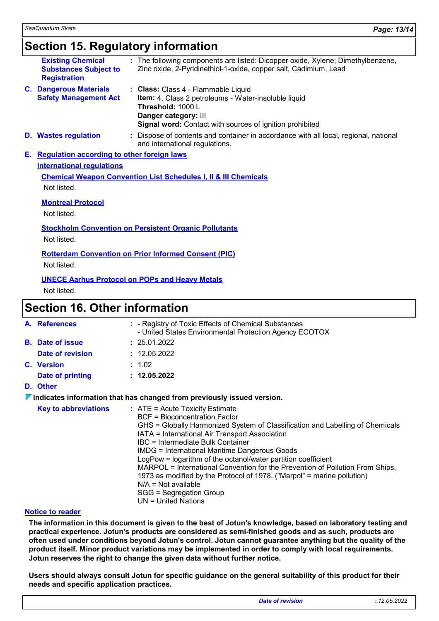### **Section 15. Regulatory information**

|                                                                                                                | <b>Existing Chemical</b><br><b>Substances Subject to</b><br><b>Registration</b> |  | The following components are listed: Dicopper oxide, Xylene; Dimethylbenzene,<br>Zinc oxide, 2-Pyridinethiol-1-oxide, copper salt, Cadimium, Lead                                                    |             |
|----------------------------------------------------------------------------------------------------------------|---------------------------------------------------------------------------------|--|------------------------------------------------------------------------------------------------------------------------------------------------------------------------------------------------------|-------------|
|                                                                                                                | <b>C. Dangerous Materials</b><br><b>Safety Management Act</b>                   |  | : Class: Class 4 - Flammable Liquid<br>Item: 4. Class 2 petroleums - Water-insoluble liquid<br>Threshold: 1000 L<br>Danger category: III<br>Signal word: Contact with sources of ignition prohibited |             |
|                                                                                                                | <b>D.</b> Wastes regulation                                                     |  | Dispose of contents and container in accordance with all local, regional, national<br>and international regulations.                                                                                 |             |
| Е.                                                                                                             | <b>Requlation according to other foreign laws</b>                               |  |                                                                                                                                                                                                      |             |
| <b>International requlations</b><br><b>Chemical Weapon Convention List Schedules I, II &amp; III Chemicals</b> |                                                                                 |  |                                                                                                                                                                                                      |             |
|                                                                                                                |                                                                                 |  |                                                                                                                                                                                                      | Not listed. |
|                                                                                                                | <b>Montreal Protocol</b>                                                        |  |                                                                                                                                                                                                      |             |
|                                                                                                                | Not listed.                                                                     |  |                                                                                                                                                                                                      |             |
| <b>Stockholm Convention on Persistent Organic Pollutants</b>                                                   |                                                                                 |  |                                                                                                                                                                                                      |             |
|                                                                                                                | Not listed.                                                                     |  |                                                                                                                                                                                                      |             |
|                                                                                                                |                                                                                 |  | <b>Rotterdam Convention on Prior Informed Consent (PIC)</b>                                                                                                                                          |             |
|                                                                                                                | Not listed.                                                                     |  |                                                                                                                                                                                                      |             |
|                                                                                                                |                                                                                 |  | <b>UNECE Aarhus Protocol on POPs and Heavy Metals</b>                                                                                                                                                |             |

Not listed.

### **Section 16. Other information**

|                                                                                        | A. References               |  | : - Registry of Toxic Effects of Chemical Substances<br>- United States Environmental Protection Agency ECOTOX                                                                                                                                                                                                                                                                                                                                                                                                                                                                                             |  |
|----------------------------------------------------------------------------------------|-----------------------------|--|------------------------------------------------------------------------------------------------------------------------------------------------------------------------------------------------------------------------------------------------------------------------------------------------------------------------------------------------------------------------------------------------------------------------------------------------------------------------------------------------------------------------------------------------------------------------------------------------------------|--|
|                                                                                        | <b>B.</b> Date of issue     |  | : 25.01.2022                                                                                                                                                                                                                                                                                                                                                                                                                                                                                                                                                                                               |  |
|                                                                                        | Date of revision            |  | : 12.05.2022                                                                                                                                                                                                                                                                                                                                                                                                                                                                                                                                                                                               |  |
|                                                                                        | C. Version                  |  | : 1.02                                                                                                                                                                                                                                                                                                                                                                                                                                                                                                                                                                                                     |  |
|                                                                                        | Date of printing            |  | : 12.05.2022                                                                                                                                                                                                                                                                                                                                                                                                                                                                                                                                                                                               |  |
|                                                                                        | D. Other                    |  |                                                                                                                                                                                                                                                                                                                                                                                                                                                                                                                                                                                                            |  |
| $\triangledown$ Indicates information that has changed from previously issued version. |                             |  |                                                                                                                                                                                                                                                                                                                                                                                                                                                                                                                                                                                                            |  |
|                                                                                        | <b>Key to abbreviations</b> |  | $:$ ATE = Acute Toxicity Estimate<br><b>BCF</b> = Bioconcentration Factor<br>GHS = Globally Harmonized System of Classification and Labelling of Chemicals<br>IATA = International Air Transport Association<br>IBC = Intermediate Bulk Container<br>IMDG = International Maritime Dangerous Goods<br>LogPow = logarithm of the octanol/water partition coefficient<br>MARPOL = International Convention for the Prevention of Pollution From Ships,<br>1973 as modified by the Protocol of 1978. ("Marpol" = marine pollution)<br>$N/A = Not available$<br>SGG = Segregation Group<br>UN = United Nations |  |

#### **Notice to reader**

**The information in this document is given to the best of Jotun's knowledge, based on laboratory testing and practical experience. Jotun's products are considered as semi-finished goods and as such, products are often used under conditions beyond Jotun's control. Jotun cannot guarantee anything but the quality of the product itself. Minor product variations may be implemented in order to comply with local requirements. Jotun reserves the right to change the given data without further notice.**

**Users should always consult Jotun for specific guidance on the general suitability of this product for their needs and specific application practices.**